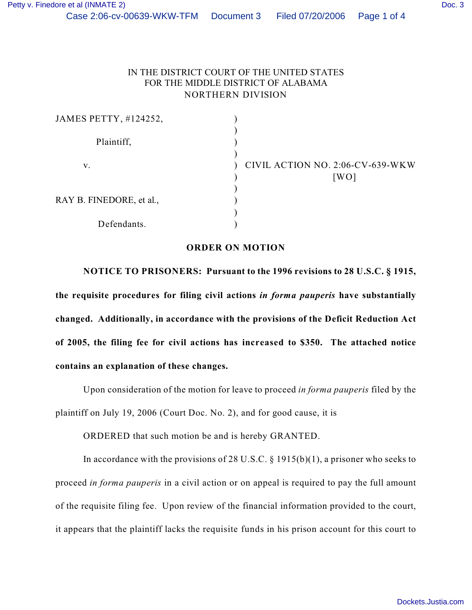## IN THE DISTRICT COURT OF THE UNITED STATES FOR THE MIDDLE DISTRICT OF ALABAMA NORTHERN DIVISION

| JAMES PETTY, #124252,    |                                  |
|--------------------------|----------------------------------|
|                          |                                  |
| Plaintiff,               |                                  |
|                          |                                  |
| V.                       | CIVIL ACTION NO. 2:06-CV-639-WKW |
|                          | [WO]                             |
|                          |                                  |
| RAY B. FINEDORE, et al., |                                  |
|                          |                                  |
| Defendants.              |                                  |

## **ORDER ON MOTION**

**NOTICE TO PRISONERS: Pursuant to the 1996 revisions to 28 U.S.C. § 1915, the requisite procedures for filing civil actions** *in forma pauperis* **have substantially changed. Additionally, in accordance with the provisions of the Deficit Reduction Act of 2005, the filing fee for civil actions has increased to \$350. The attached notice contains an explanation of these changes.**

Upon consideration of the motion for leave to proceed *in forma pauperis* filed by the plaintiff on July 19, 2006 (Court Doc. No. 2), and for good cause, it is

ORDERED that such motion be and is hereby GRANTED.

In accordance with the provisions of 28 U.S.C.  $\S$  1915(b)(1), a prisoner who seeks to proceed *in forma pauperis* in a civil action or on appeal is required to pay the full amount of the requisite filing fee. Upon review of the financial information provided to the court, it appears that the plaintiff lacks the requisite funds in his prison account for this court to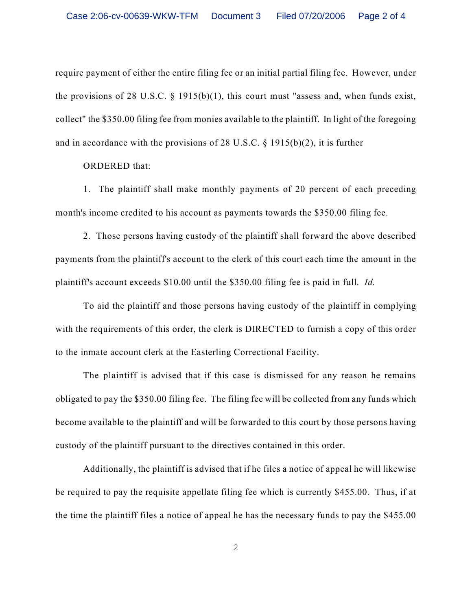require payment of either the entire filing fee or an initial partial filing fee. However, under the provisions of 28 U.S.C.  $\S$  1915(b)(1), this court must "assess and, when funds exist, collect" the \$350.00 filing fee from monies available to the plaintiff. In light of the foregoing and in accordance with the provisions of 28 U.S.C. § 1915(b)(2), it is further

ORDERED that:

1. The plaintiff shall make monthly payments of 20 percent of each preceding month's income credited to his account as payments towards the \$350.00 filing fee.

2. Those persons having custody of the plaintiff shall forward the above described payments from the plaintiff's account to the clerk of this court each time the amount in the plaintiff's account exceeds \$10.00 until the \$350.00 filing fee is paid in full. *Id.* 

To aid the plaintiff and those persons having custody of the plaintiff in complying with the requirements of this order, the clerk is DIRECTED to furnish a copy of this order to the inmate account clerk at the Easterling Correctional Facility.

The plaintiff is advised that if this case is dismissed for any reason he remains obligated to pay the \$350.00 filing fee. The filing fee will be collected from any funds which become available to the plaintiff and will be forwarded to this court by those persons having custody of the plaintiff pursuant to the directives contained in this order.

Additionally, the plaintiff is advised that if he files a notice of appeal he will likewise be required to pay the requisite appellate filing fee which is currently \$455.00. Thus, if at the time the plaintiff files a notice of appeal he has the necessary funds to pay the \$455.00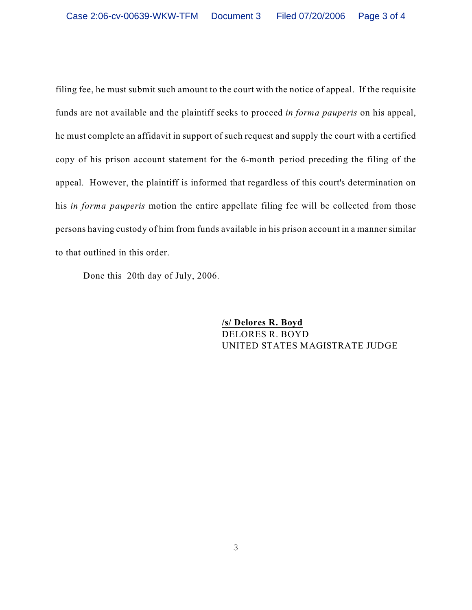filing fee, he must submit such amount to the court with the notice of appeal. If the requisite funds are not available and the plaintiff seeks to proceed *in forma pauperis* on his appeal, he must complete an affidavit in support of such request and supply the court with a certified copy of his prison account statement for the 6-month period preceding the filing of the appeal. However, the plaintiff is informed that regardless of this court's determination on his *in forma pauperis* motion the entire appellate filing fee will be collected from those persons having custody of him from funds available in his prison account in a manner similar to that outlined in this order.

Done this 20th day of July, 2006.

**/s/ Delores R. Boyd** DELORES R. BOYD UNITED STATES MAGISTRATE JUDGE